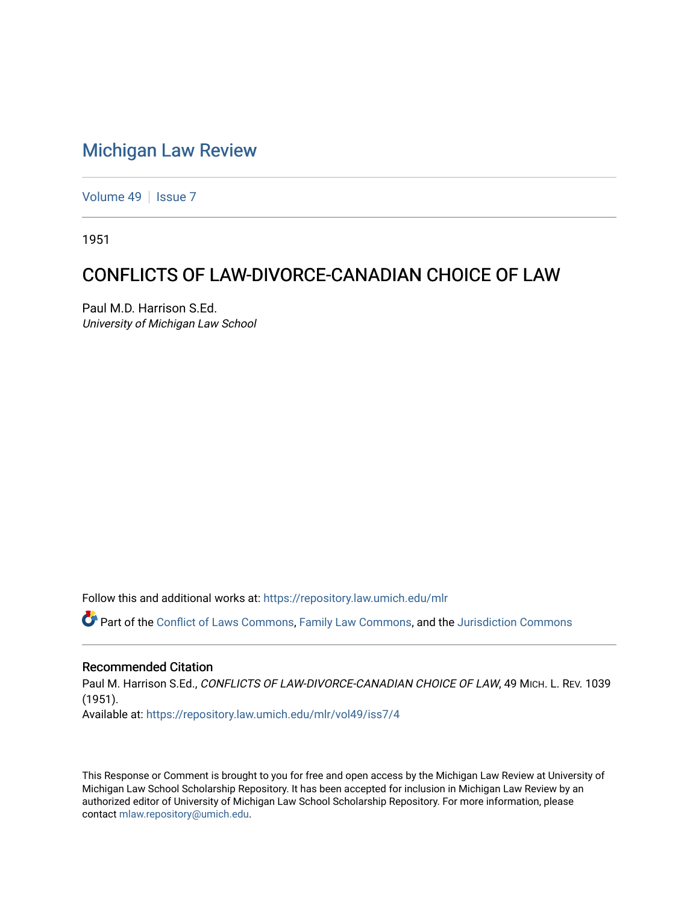# [Michigan Law Review](https://repository.law.umich.edu/mlr)

[Volume 49](https://repository.law.umich.edu/mlr/vol49) | [Issue 7](https://repository.law.umich.edu/mlr/vol49/iss7)

1951

# CONFLICTS OF LAW-DIVORCE-CANADIAN CHOICE OF LAW

Paul M.D. Harrison S.Ed. University of Michigan Law School

Follow this and additional works at: [https://repository.law.umich.edu/mlr](https://repository.law.umich.edu/mlr?utm_source=repository.law.umich.edu%2Fmlr%2Fvol49%2Fiss7%2F4&utm_medium=PDF&utm_campaign=PDFCoverPages) 

Part of the [Conflict of Laws Commons,](https://network.bepress.com/hgg/discipline/588?utm_source=repository.law.umich.edu%2Fmlr%2Fvol49%2Fiss7%2F4&utm_medium=PDF&utm_campaign=PDFCoverPages) [Family Law Commons,](https://network.bepress.com/hgg/discipline/602?utm_source=repository.law.umich.edu%2Fmlr%2Fvol49%2Fiss7%2F4&utm_medium=PDF&utm_campaign=PDFCoverPages) and the [Jurisdiction Commons](https://network.bepress.com/hgg/discipline/850?utm_source=repository.law.umich.edu%2Fmlr%2Fvol49%2Fiss7%2F4&utm_medium=PDF&utm_campaign=PDFCoverPages) 

### Recommended Citation

Paul M. Harrison S.Ed., CONFLICTS OF LAW-DIVORCE-CANADIAN CHOICE OF LAW, 49 MICH. L. REV. 1039 (1951). Available at: [https://repository.law.umich.edu/mlr/vol49/iss7/4](https://repository.law.umich.edu/mlr/vol49/iss7/4?utm_source=repository.law.umich.edu%2Fmlr%2Fvol49%2Fiss7%2F4&utm_medium=PDF&utm_campaign=PDFCoverPages)

This Response or Comment is brought to you for free and open access by the Michigan Law Review at University of Michigan Law School Scholarship Repository. It has been accepted for inclusion in Michigan Law Review by an authorized editor of University of Michigan Law School Scholarship Repository. For more information, please contact [mlaw.repository@umich.edu](mailto:mlaw.repository@umich.edu).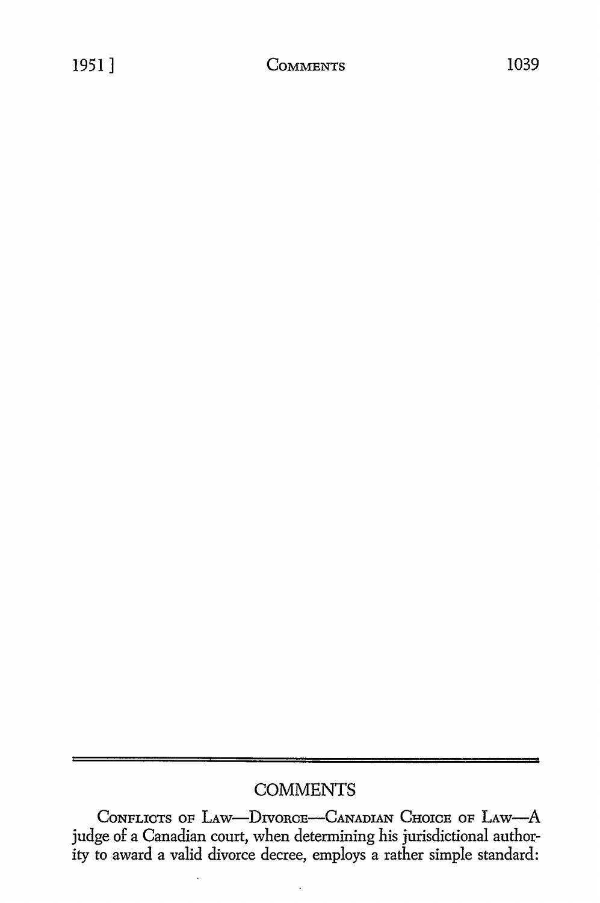## **COMMENTS**

CONFLICTS OF LAW-DIVORCE-CANADIAN CHOICE OF LAW-A judge of a Canadian court, when determining his jurisdictional authority to award a valid divorce decree, employs a rather simple standard: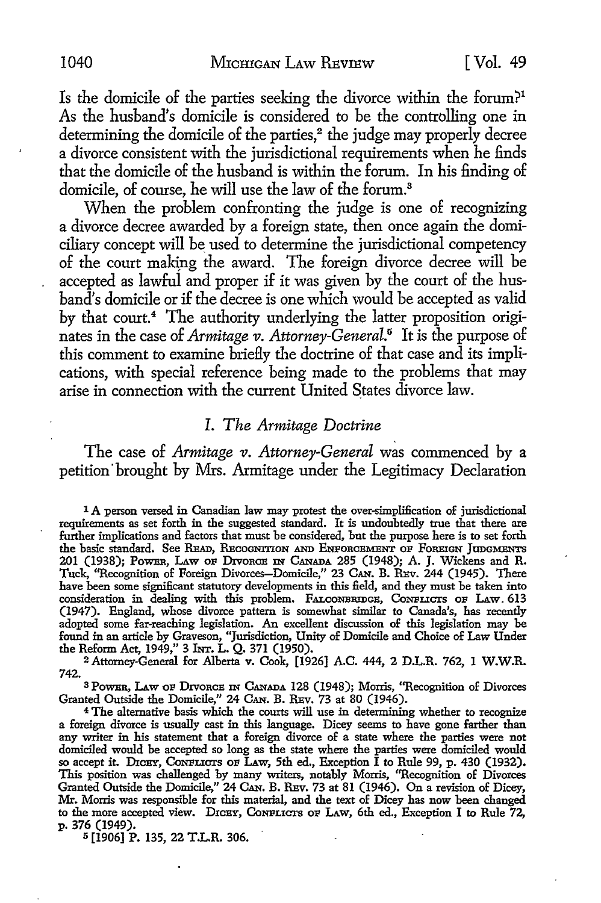Is the domicile of the parties seeking the divorce within the forum?1 As the husband's domicile is considered to be the controlling one in determining the domicile of the parties, $2$  the judge may properly decree a divorce consistent with the jurisdictional requirements when he finds that the domicile of the husband is within the forum. In his finding of domicile, of course, he will use the law of the forum.<sup>3</sup>

When the problem confronting the judge is one of recognizing a divorce decree awarded by a foreign state, then once again the domiciliary concept will be used to determine the jurisdictional competency of the court making the award. The foreign divorce decree will be accepted as lawful and proper if it was given by the court of the husband's domicile or if the decree is one which would be accepted as valid by that court.<sup>4</sup> The authority underlying the latter proposition originates in the case of *Armitage v. Attorney-General*.<sup>5</sup> It is the purpose of this comment to examine briefly the doctrine of that case and its implications, with special reference being made to the problems that may arise in connection with the current United States divorce law.

#### *I. The Armitage Doctrine*

The case of *Armitage v. Attorney-General* was commenced by a petition brought by Mrs. Armitage under the Legitimacy Declaration

1 A person versed in Canadian law may protest the over-simplification of jurisdictional requirements as set forth in the suggested standard. It is undoubtedly true that there are further implications and factors that must be considered, but the purpose here is to set forth the basic standard. See RsAD, REcoGNITION AND ENFoncBMENT OF FOREIGN JUDGMENTS 201 (1938); Power, Law of Drvorce In Canada 285 (1948); A. J. Wickens and R. Tuck, "Recognition of Foreign Divorces-Domicile," 23 CAN. B. REv. 244 (1945). There have been some significant statutory developments in this field, and they must be taken into consideration in dealing with this problem. FALCONBRIDGE, CONFLICTS OF LAW. 613 (1947). England, whose divorce pattern is somewhat similar to Canada's, has recently adopted some far-reaching legislation. An excellent discussion of this legislation may be found in an article by Graveson, "Jurisdiction, Unity of Domicile and Choice of Law Under the Reform Act, 1949," 3 INT. L. Q. 371 (1950).

2 Attorney-General for Alberta v. Cook, [1926] A.C. 444, 2 D.L.R. 762, I W.W.R. 742.

<sup>3</sup> Power, Law of Divorce IN CANADA 128 (1948); Morris, "Recognition of Divorces Granted Outside the Domicile," 24 CAN. B. REv. 73 at 80 (1946).

<sup>4</sup>The alternative basis which the courts will use in determining whether to recognize a foreign divorce is usually cast in this language. Dicey seems to have gone farther than any writer in his statement that a foreign divorce of a state where the parties were not domiciled would be accepted so long as the state where the parties were domiciled would so accept it. DICBY, CONFLICTS OF LAW, 5th ed., Exception  $\tilde{I}$  to Rule 99, p. 430 (1932). This position was challenged by many writers, notably Morris, "Recognition of Divorces Granted Outside the Domicile," 24 CAN. B. REv. 73 at 81 (1946). On a revision of Dicey, Mr. Morris was responsible for this material, and the text of Dicey has now been changed to the more accepted view. DICEY, CONFLICTS OF LAW, 6th ed., Exception I to Rule 72, p. 376 (1949).

5 [1906] P. 135, 22 T.L.R. 306.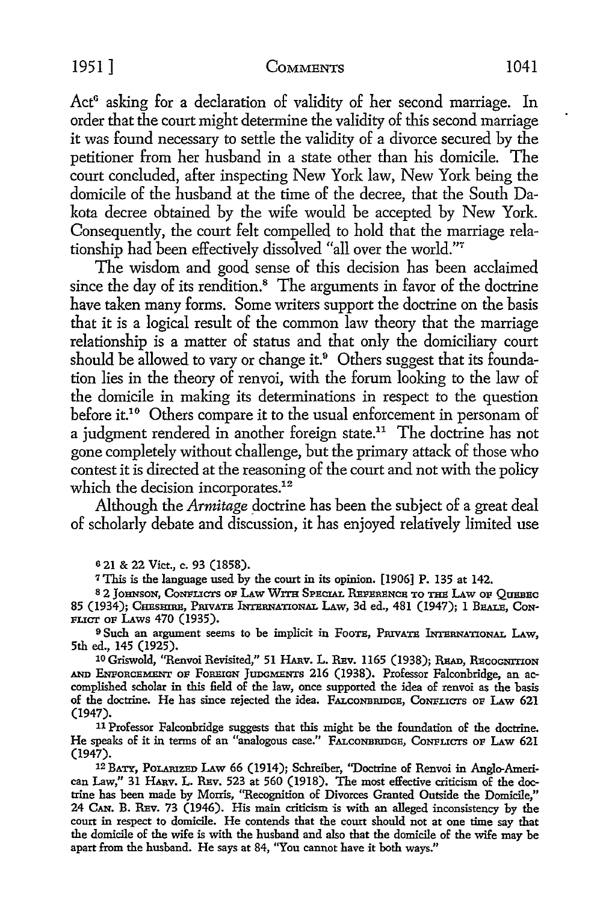#### 1951] COMMENTS 1041

Act<sup>6</sup> asking for a declaration of validity of her second marriage. In order that the court might determine the validity of this second marriage it was found necessary to settle the validity of a divorce secured by the petitioner from her husband in a state other than his domicile. The court conduded, after inspecting New York law, New York being the domicile of the husband at the time of the decree, that the South Dakota decree obtained by the wife would be accepted by New York. Consequently, the court felt compelled to hold that the marriage relationship had been effectively dissolved "all over the world."<sup>7</sup>

The wisdom and good sense of this decision has been acclaimed since the day of its rendition.<sup>8</sup> The arguments in favor of the doctrine have taken many forms. Some writers support the doctrine on the basis that it is a logical result of the common law theory that the marriage relationship is a matter of status and that only the domiciliary court should be allowed to vary or change it.<sup>9</sup> Others suggest that its foundation lies in the theory of renvoi, with the forum looking to the law of the domicile in making its determinations in respect to the question before it.<sup>10</sup> Others compare it to the usual enforcement in personam of a judgment rendered in another foreign state.<sup>11</sup> The doctrine has not gone completely without challenge, but the primary attack of those who contest it is directed at the reasoning of the court and not with the policy which the decision incorporates.<sup>12</sup>

Although the *Armitage* doctrine has been the subject of a great deal of scholarly debate and discussion, it has enjoyed relatively limited use

o 21 & 22 Viet., c. 93 (1858).

7 This is the language used by the court in its opinion. [1906] P. 135 at 142.

82 JOHNSON, CONFLICTS OF LAW WITH SPECIAL REFERENCE TO THE LAW OF QUEBEC 85 (1934); CHESHIRE, PRIVATE INTERNATIONAL LAW, 3d ed., 481 (1947); 1 BEALE, CON-PLICT OP LAws 470 (1935).

<sup>9</sup> Such an argument seems to be implicit in FOOTE, PRIVATE INTERNATIONAL LAW, 5th ed., 145 (1925).

<sup>10</sup> Griswold, "Renvoi Revisited," 51 HARV. L. REV. 1165 (1938); READ, RECOGNITION AND ENPoRC.EMENT OP FOREIGN JUDGMENTS 216 (1938). Professor Falconbridge, an accomplished scholar in this field of the law, once supported the idea of renvoi as the basis of the doctrine. He has since rejected the idea. FALCONBRIDGE, CONFLICTS OF LAW 621 (1947).

<sup>11</sup>Professor Falconbridge suggests that this might be the foundation of the doctrine. He speaks of it in terms of an "analogous case." FALCONBRIDGE, CONFLICTS OF LAW 621 (1947).

12 BATY, POLARIZED LAw 66 (1914); Schreiber, "Doctrine of Renvoi in Anglo-American Law," 31 HARV. L. REV. 523 at 560 (1918). The most effective criticism of the doctrine has been made by Morris, "Recognition of Divorces Granted Outside the Domicile,'' 24 CAN. B. REV. 73 (1946). His main criticism is with an alleged inconsistency by the court in respect to domicile. He contends that the court should not at one time say that the domicile of the wife is with the husband and also that the domicile of the wife may be apart from the husband. He says at 84, "You cannot have it both ways."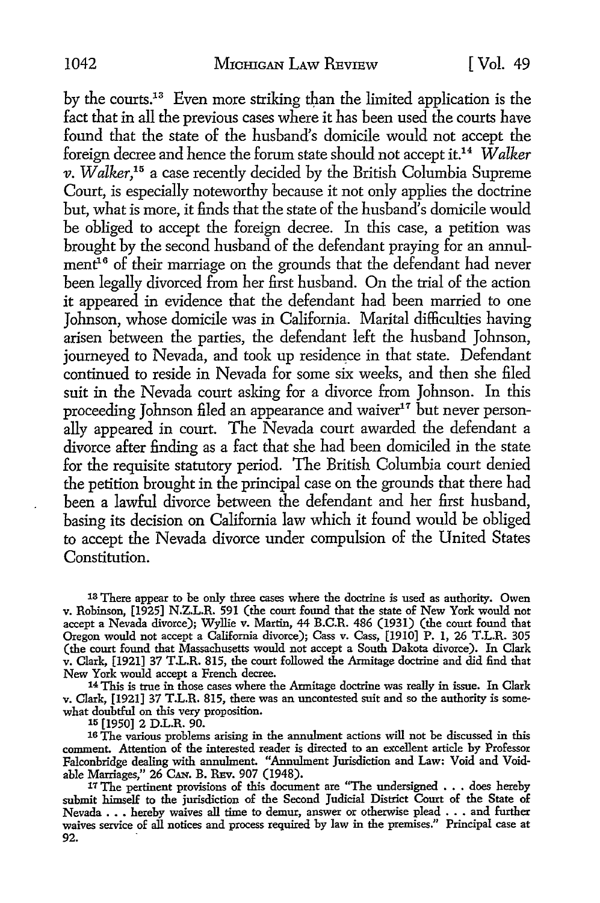by the courts.<sup>13</sup> Even more striking than the limited application is the fact that in all the previous cases where it has been used the courts have found that the state of the husband's domicile would not accept the foreign decree and hence the forum state should not accept it.<sup>14</sup>*Walker v. Walker,15* a case recently decided by the British Columbia Supreme Court, is especially noteworthy because it not only applies the doctrine but, what is more, it finds that the state of the husband's domicile would be obliged to accept the foreign decree. In this case, a petition was brought by the second husband of the defendant praying for an annulment<sup>16</sup> of their marriage on the grounds that the defendant had never been legally divorced from her first husband. On the trial of the action it appeared in evidence that the defendant had been married to one Johnson, whose domicile was in California. Marital difficulties having arisen between the parties, the defendant left the husband Johnson, journeyed to Nevada, and took up residence in that state. Defendant continued to reside in Nevada for some six weeks, and then she filed suit in the Nevada court asking for a divorce from Johnson. In this proceeding Johnson filed an appearance and waiver<sup>17</sup> but never personally appeared in court. The Nevada court awarded the defendant a divorce after finding as a fact that she had been domiciled in the state for the requisite statutory period. The British Columbia court denied the petition brought in the principal case on the grounds that there had been a lawful divorce between the defendant and her first husband, basing its decision on California law which it found would be obliged to accept the Nevada divorce under compulsion of the United States Constitution.

13 There appear to be only three cases where the doctrine is used as authority. Owen v. Robinson, [1925] N.Z.L.R. 591 (the court found that the state of New York would not accept a Nevada divorce); Wyllie v. Martin, 44 B.C.R. 486 (1931) (the court found that Oregon would not accept a California divorce); Cass v. Cass, [1910] P. 1, 26 T.L.R. 305 (the court found that Massachusetts would not accept a South Dakota divorce). In Clark v. Clark, [1921] 37 T.L.R. 815, the court followed the Armitage doctrine and did find that New York would accept a French decree.

<sup>14</sup>This is true in those cases where the Armitage doctrine was really in issue. In Clark v. Clark, [1921] 37 T.L.R. 815, there was an uncontested suit and so the authority is somewhat doubtful on this very proposition. 15 [1950] 2 D.L.R. 90.

16 The various problems arising in the annulment actions will not be discussed in this comment. Attention of the interested reader is directed to an excellent article by Professor Falconbridge dealing with annulment. "Annulment Jurisdiction and Law: Void and Void-

<sup>17</sup> The pertinent provisions of this document are "The undersigned  $\ldots$  does hereby submit himself to the jurisdiction of the Second Judicial District Court of the State of Nevada . . . hereby waives all time to demur, answer or otherwise plead . . . and further waives service of all notices and process required by law in the premises." Principal case at 92.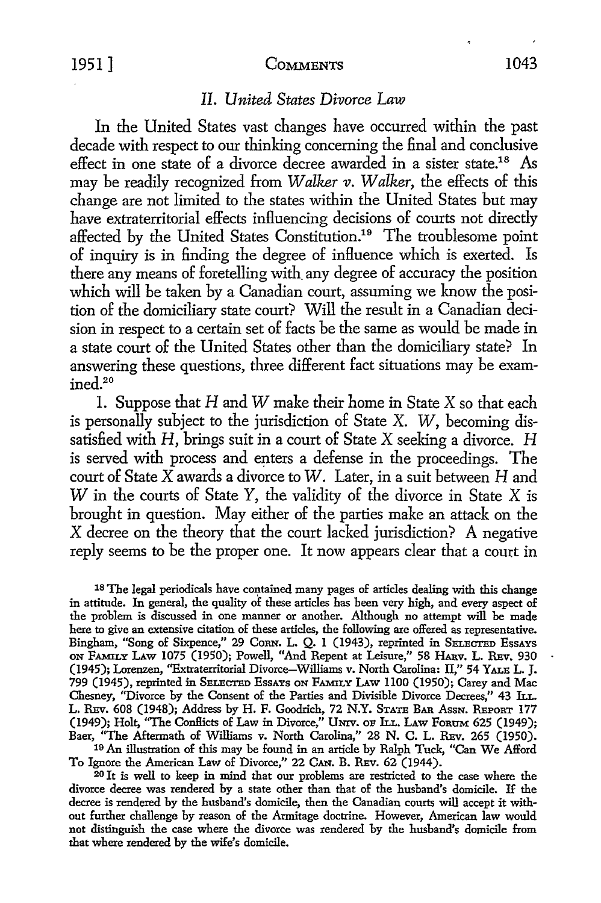#### 1951 ] COMMENTS 1043

#### *II. United States Divorce Law*

In the United States vast changes have occurred within the past decade with respect to our thinking concerning the final and conclusive effect in one state of a divorce decree awarded in a sister state.<sup>18</sup> As may be readily recognized from *Walker v. Walker,* the effects of this change are not limited to the states within the United States but may have extraterritorial effects influencing decisions of courts not directly affected by the United States Constitution.<sup>19</sup> The troublesome point of inquiry is in finding the degree of influence which is exerted. Is there any means of foretelling with\_ any degree of accuracy the position which will be taken by a Canadian court, assuming we know the position of the domiciliary state court? Will the result in a Canadian decision in respect to a certain set of facts be the same as would be made in a state court of the United States other than the domiciliary state? In answering these questions, three different fact situations may be examined.20

1. Suppose that  $H$  and  $W$  make their home in State  $X$  so that each is personally subject to the jurisdiction of State X. W, becoming dissatisfied with  $H$ , brings suit in a court of State  $X$  seeking a divorce.  $H$ is served with process and enters a defense in the proceedings. The court of State X awards a divorce to *W.* Later, in a suit between H and W in the courts of State Y, the validity of the divorce in State X is brought in question. May either of the parties make an attack on the X decree on the theory that the court lacked jurisdiction? A negative reply seems to be the proper one. It now appears clear that a court in

 $18$  The legal periodicals have contained many pages of articles dealing with this change in attitude. In general, the quality of these articles has been very high, and every aspect of the problem is discussed in one manner or another. Although no attempt will be made here to give an extensive citation of these articles, the following are offered as representative. Bingham, "Song of Sixpence," 29 Corn. L. Q. 1 (1943), reprinted in SELECTED Essays ON FAMILY LAw 1075 (1950); Powell, "And Repent at Leisure," 58 HAnv. L. REv. 930 (1945); Lorenzen, "Extraterritorial Divorce-Williams v. North Carolina: II," 54 YALE L. J. 799 (1945), reprinted in SELECTED EssAYs ON FAMILY LAw 1100 (1950); Carey and Mac Chesney, "Divorce by the Consent of the Parties and Divisible Divorce Decrees," 43 Ir.L. L. REv. 608 (1948); Address by H. F. Goodrich, 72 N.Y. STATE BAR Assn. REPORT 177 (1949); Holt, "The Conflicts of Law in Divorce," Umv. oF ILI.. LAW FoRUM 625 (1949); Baer, "The Aftermath of Williams v. North Carolina," 28 N. C. L. REv. 265 (1950). 19 An illustration of this may be found in an article by Ralph Tuck, "Can We Afford

To Ignore the American Law of Divorce," 22 CAN. B. REv. 62 (1944).

20 It is well to keep in mind that our problems are restricted to the case where the divorce decree was rendered by a state other than that of the husband's domicile. If the decree is rendered by the husband's domicile, then the Canadian courts will accept it without further challenge by reason of the Armitage doctrine. However, American law would not distinguish the case where the divorce was rendered by the husband's domicile from that where rendered by the wife's domicile.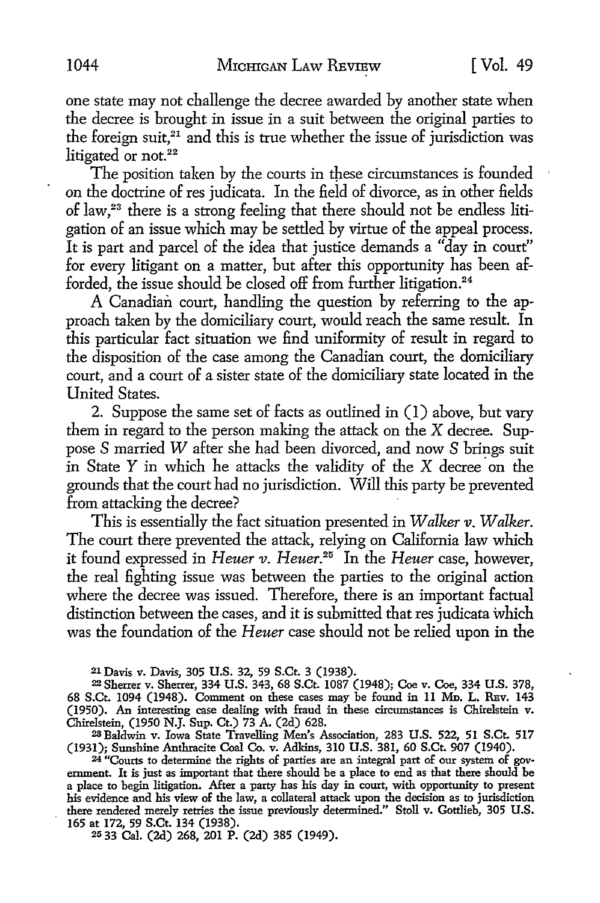one state may not challenge the decree awarded by another state when the decree is brought in issue in a suit between the original parties to the foreign suit, $21$  and this is true whether the issue of jurisdiction was litigated or not. $22$ 

The position taken by the courts in these circumstances is founded on the doctrine of res judicata. In the field of divorce, as in other fields of law,23 there is a strong feeling that there should not be endless litigation of an issue which may be settled by virtue of the appeal process. It is part and parcel of the idea that justice demands a "day in court" for every litigant on a matter, but after this opportunity has been afforded, the issue should be closed off from further litigation.<sup>24</sup>

A Canadian court, handling the question by referring *to* the approach taken by the domiciliary court, would reach the same result. In this particular fact situation we find uniformity of result in regard *to*  the disposition of the case among the Canadian court, the domiciliary court, and a court of a sister state of the domiciliary state located in the United States.

2. Suppose the same set of facts as outlined in (I) above, but vary them in regard *to* the person making the attack on the X decree. Suppose *S* married *W* after she had been divorced, and now *S* brings suit in State  $Y$  in which he attacks the validity of the  $X$  decree on the grounds that the court had no jurisdiction. Will this party be prevented from attacking the decree?

This is essentially the fact situation presented in *Walker v. Walker.*  The court there prevented the attack, relying on California law which it found expressed in *Heuer v. Heuer.25* In the *Heuer* case, however, the real fighting issue was between the parties *to* the original action where the decree was issued. Therefore, there is an important factual distinction between the cases, and it is submitted that res judicata which was the foundation of the *Heuer* case should not be relied upon in the

21 Davis v. Davis, 305 U.S. 32, 59 S.Ct. 3 (1938).

<sup>22</sup>Sherrer v. Sherrer, 334 U.S. 343, 68 S.Ct. 1087 (1948); Coe v. Coe, 334 U.S. 378, 68 S.Ct. 1094 (1948). Comment on these cases may be found in 11 MD. L. REv. 143 (1950). An interesting case dealing with fraud in these circumstances is Chirelstein v. Chirelstein, (1950 N.J. Sup. Ct.) 73 A. (2d) 628.

23 Baldwin v. Iowa State Travelling Men's Association, 283 U.S. 522, 51 S.Ct. 517 (1931); Sunshine Anthracite Coal Co. v. Adkins, 310 U.S. 381, 60 S.Ct. 907 (1940).

<sup>24</sup> "Courts to determine the rights of parties are an integral part of our system of government. It is just as important that there should be a place to end as that there should be a place to begin litigation. After a party has his day in court, with opportunity to present his evidence and his view of the law, a collateral attack upon the decision as to jurisdiction there rendered merely retries the issue previously determined." Stoll v. Gottlieb, 305 U.S. 165 at 172, 59 S.Ct. 134 (1938).

25 33 Cal. (2d) 268, 201 P. (2d) 385 (1949).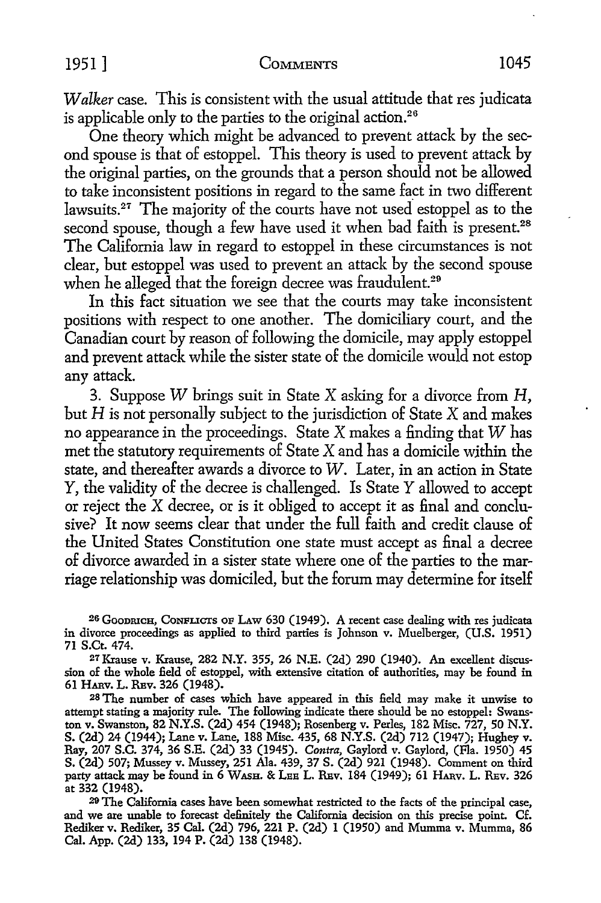*Walker* case. This is consistent with the usual attitude that res judicata is applicable only to the parties to the original action.<sup>26</sup>

One theory which might be advanced to prevent attack by the second spouse is that of estoppel. This theory is used to prevent attack by the original parties, on the grounds that a person should not be allowed to take inconsistent positions in regard to the same fact in two different lawsuits.<sup>27</sup> The majority of the courts have not used estoppel as to the second spouse, though a few have used it when bad faith is present.<sup>28</sup> The California law in regard to estoppel in these circumstances is not clear, but estoppel was used to prevent an attack by the second spouse when he alleged that the foreign decree was fraudulent.<sup>29</sup>

In this fact situation we see that the courts may take inconsistent positions with respect to one another. The domiciliary court, and the Canadian court by reason of following the domicile, may apply estoppel and prevent attack while the sister state of the domicile would not estop any attack.

3. Suppose W brings suit in State X asking for a divorce from  $H$ , but  $H$  is not personally subject to the jurisdiction of State  $X$  and makes no appearance in the proceedings. State X makes a finding that W has met the statutory requirements of State X and has a domicile within the state, and thereafter awards a divorce to W. Later, in an action in State *Y,* the validity of the decree is challenged. Is State *Y* allowed to accept or reject the X decree, or is it obliged to accept it as final and conclusive? It now seems clear that under the full faith and credit clause of the United States Constitution one state must accept as final a decree of divorce awarded in a sister state where one of the parties to the marriage relationship was domiciled, but the forum may determine for itself

26 GooDRICH, CoNFucrs OF LAW 630 (1949). A recent case dealing with res judicata in divorce proceedings as applied to third parties is Johnson v. Muelberger, (U.S. 1951) 71 S.Ct. 474.

27 Krause v. Krause, 282 N.Y. 355, 26 N.E. (2d) 290 (1940). An excellent discussion of the whole field of estoppel, with extensive citation of authorities, may be found in 61 HARV, L. REv. 326 (1948).

28 The number of cases which have appeared in this field may make it unwise to attempt stating a majority rule. The following indicate there should be no estoppel: Swanston v. Swanston, 82 N.Y.S. (2d) 454 (1948); Rosenberg v. Perles, 182 Misc. 727, 50 N.Y. S. (2d) 24 (1944); Lane v. Lane, 188 Misc. 435, 68 N.Y.S. (2d) 712 (1947); Hughey v. Ray, 207 S.C. 374, 36 S.E. (2d) 33 (1945). *Contra,* Gaylord v. Gaylord, (Fla. 1950) 45 S. (2d) 507; Mussey v. Mussey, 251 Ala. 439, 37 S. (2d) 921 (1948). Comment on third party attack may be found in 6 WASH. & LEE L. REv. 184 (1949); 61 HARv. L. REv. 326 at 332 (1948).

<sup>29</sup>The California cases have been somewhat restricted to the facts of the principal case, and we are unable to forecast definitely the California decision on this precise point. Cf. Rediker v. Rediker, 35 Cal. (2d) 796, 221 P. (2d) l (1950) and Mumma v. Mumma, 86 Cal. App. (2d) 133, 194 P. (2d) 138 (1948).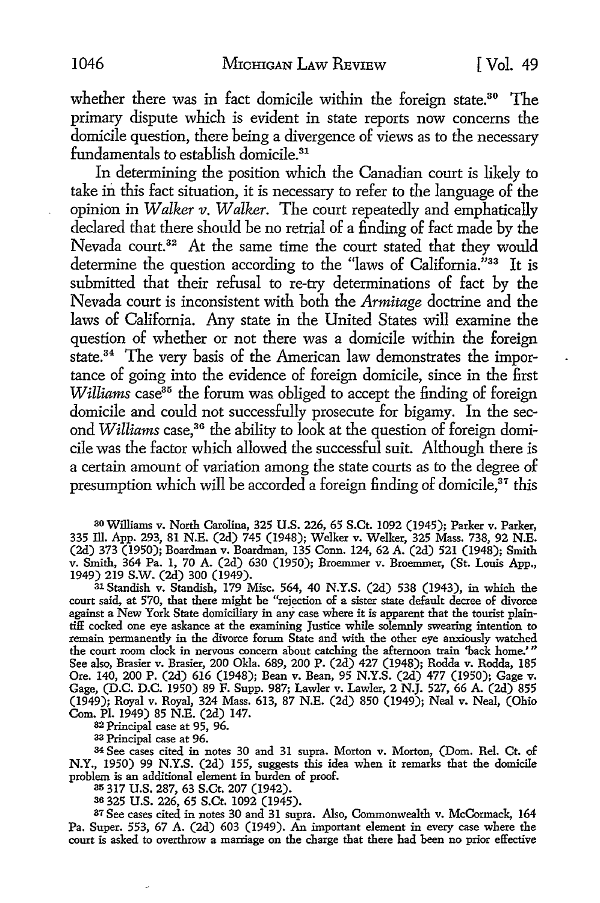whether there was in fact domicile within the foreign state.<sup>30</sup> The primary dispute which is evident in state reports now concerns the domicile question, there being a divergence of views as to the necessary fundamentals to establish domicile.<sup>31</sup>

In determining the position which the Canadian court is likely to take in this fact situation, it is necessary to refer to the language of the opinion in *Walker v. Walker.* The court repeatedly and emphatically declared that there should be no retrial of a finding of fact made by the Nevada court.<sup>32</sup> At the same time the court stated that they would determine the question according to the "laws of California."<sup>33</sup> It is submitted that their refusal to re-try determinations of fact by the Nevada court is inconsistent with both the *Armitage* doctrine and the laws of California. Any state in the United States will examine the question of whether or not there was a domicile within the foreign state.<sup>34</sup> The very basis of the American law demonstrates the importance of going into the evidence of foreign domicile, since in the first *Williams* case<sup>35</sup> the forum was obliged to accept the finding of foreign domicile and could not successfully prosecute for bigamy. In the second *Williams* case,36 the ability to look at the question of foreign domicile was the factor which allowed the successful suit. Although there is a certain amount of variation among the state courts as to the degree of presumption which will be accorded a foreign finding of domicile,<sup>37</sup> this

30Williams v. North Carolina, 325 U.S. 226, 65 S.Ct. 1092 (1945); Parker v. Parker, 335 lli. App. 293, 81 N.E. (2d) 745 (1948); Welker v. Welker, 325 Mass. 738, 92 N.E. (2d) 373 (1950); Boardman v. Boardman, 135 Conn. 124, 62 A. (2d) 521 (1948); Smith v. Smith, 364 Pa. 1, 70 A. (2d) 630 (1950); Broemmer v. Broemmer, (St. Louis App., 1949) 219 s.w. (2d) 300 (1949).

31 Standish v. Standish, 179 Misc. 564, 40 N.Y.S. (2d) 538 (1943), in which the court said, at 570, that there might be "rejection of a sister state default decree of divorce against a New York State domiciliary in any case where it is apparent that the tourist plaintiff cocked one eye askance at the examining Justice while solemnly swearing intention to remain permanently in the divorce forum State and with the other eye anxiously watched the court room clock in nervous concern about catching the afternoon train 'hack home.' " See also, Brasier v. Brasier, 200 Okla. 689, 200 P. (2d) 427 (1948); Rodda v. Rodda, 185 Ore. 140, 200 P. (2d) 616 (1948); Bean v. Bean, 95 **N.Y.S.** (2d) 477 (1950); Gage v. Gage, (D.C. D.C. 1950) 89 F. Supp. 987; Lawler v. Lawler, 2 N.J. 527, 66 A. (2d) 855 (1949); Royal v. Royal, 324 Mass. 613, 87 N.E. (2d) 850 (1949); Neal v. Neal, (Ohio Com. Pl. 1949) 85 N.E. (2d) 147.

<sup>32</sup>Principal case at 95, 96.

<sup>33</sup>Principal case at 96.

<sup>34</sup>See cases cited in notes 30 and 31 supra. Morton v. Morton, (Dom. Rel. Ct. of N.Y., 1950) 99 N.Y.S. (2d) 155, suggests this idea when it remarks that the domicile problem is an additional element in burden of proof.

35 317 U.S. 287, 63 S.Ct. 207 (1942).

36 325 U.S. 226, 65 S.Ct. 1092 (1945).

37 See cases cited in notes 30 and 31 supra. Also, Commonwealth v. McCormack, 164 Pa. Super. 553, 67 A. (2d) 603 (1949). An important element in every case where the court is asked to overthrow a marriage on the charge that there had been no prior effective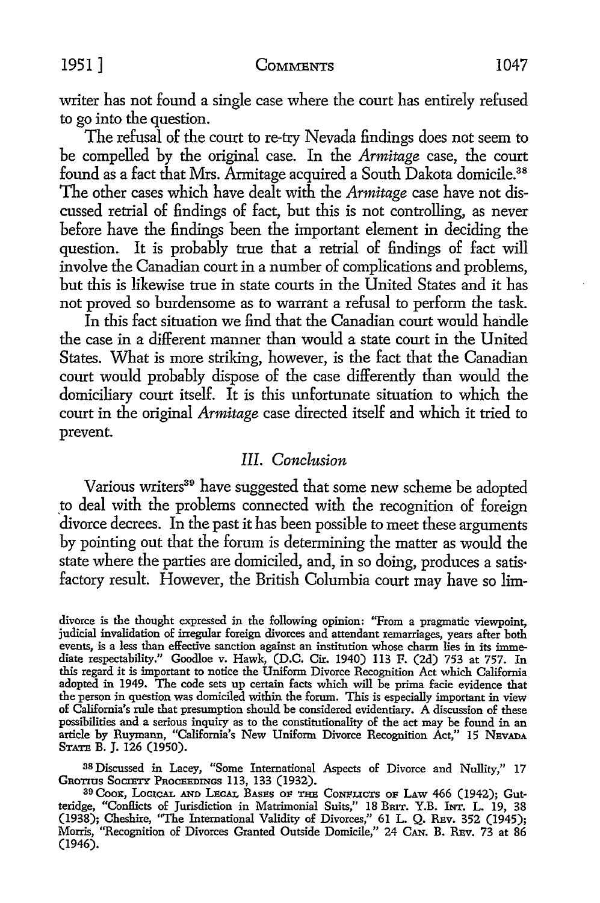writer has not found a single case where the court has entirely refused to go into the question.

The refusal of the court to re-try Nevada findings does not seem to be compelled by the original case. In the *Armitage* case, the court found as a fact that Mrs. Armitage acquired a South Dakota domicile.<sup>38</sup> The other cases which have dealt with the *Armitage* case have not discussed retrial of findings of fact, but this is not controlling, as never before have the findings been the important element in deciding the question. It is probably true that a retrial of findings of fact will involve the Canadian court in a number of complications and problems, but this is likewise true in state courts in the United States and it has not proved so burdensome as to warrant a refusal to perform the task.

In this fact situation we find that the Canadian court would handle the case in a different manner than would a state court in the United States. What is more striking, however, is the fact that the Canadian court would probably dispose of the case differently than would the domiciliary court itself. It is this unfortunate situation to which the court in the original *Armitage* case directed itself and which it tried to prevent.

### *III. Conclusion*

Various writers<sup>39</sup> have suggested that some new scheme be adopted to deal with the problems connected with the recognition of foreign divorce decrees. In the past it has been possible to meet these arguments by pointing out that the forum is determining the matter as would the state where the parties are domiciled, and, in so doing, produces a satis· factory result. However, the British Columbia court may have so lim-

38 Discussed in Lacey, "Some International Aspects of Divorce and Nullity," 17 GROTIUS SOCIETY PROCEEDINGS 113, 133 (1932).

divorce is the thought expressed in the following opinion: "From a pragmatic viewpoint, judicial invalidation of irregular foreign divorces and attendant remarriages, years after both events, is a less than effective sanction against an institution whose charm lies in its immediate respectability." Goodloe v. Hawk, (D.C. Cir. 1940) 113 F. (2d) 753 at 757. In this regard it is important to notice the Uniform Divorce Recognition Act which California adopted in 1949. The code sets up certain facts which will be prima facie evidence that the person in question was domiciled within the forum. This is especially important in view of California's rule that presumption should be considered evidentiary. A discussion of these possibilities and a serious inquiry as to the constitutionality of the act may be found in an article by Ruymann, "California's New Uniform Divorce Recognition Act," 15 NEVADA STATE B. I. 126 (1950).

<sup>39</sup> Coox, LOGICAL AND LEGAL BASES OP THE CoNPLICTS OP LAw 466 (1942); Gutteridge, "Confilcts of Jurisdiction in Matrimonial Suits," 18 BmT. Y.B. brr. L. 19, 38 (1938); Cheshire, "The International Validity of Divorces," 61 L. Q. Rev. 352 (1945); Morris, "Recognition of Divorces Granted Outside Domicile," 24 Can. B. Ruv. 73 at 86 (1946).